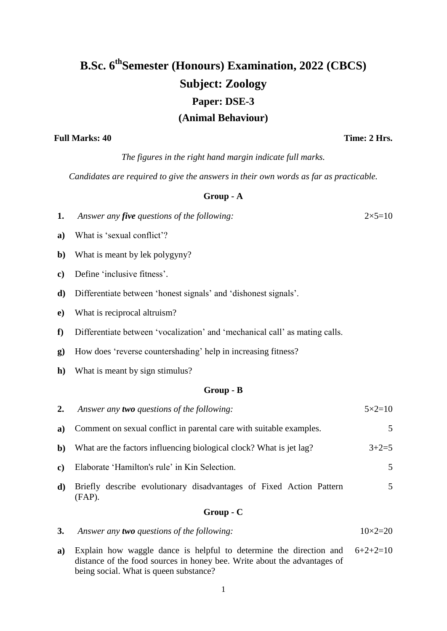# **B.Sc. 6 thSemester (Honours) Examination, 2022 (CBCS) Subject: Zoology Paper: DSE-3 (Animal Behaviour)**

**Full Marks: 40 Time: 2 Hrs.**

*The figures in the right hand margin indicate full marks.*

*Candidates are required to give the answers in their own words as far as practicable.*

### **Group - A**

**1.** *Answer any five questions of the following:* 2×5=10

- **a)** What is 'sexual conflict'?
- **b)** What is meant by lek polygyny?
- **c)** Define 'inclusive fitness'.
- **d)** Differentiate between 'honest signals' and 'dishonest signals'.
- **e)** What is reciprocal altruism?
- **f)** Differentiate between 'vocalization' and 'mechanical call' as mating calls.
- **g)** How does 'reverse countershading' help in increasing fitness?
- **h**) What is meant by sign stimulus?

#### **Group - B**

| 3.           | Answer any two questions of the following:                                       | $10\times2=20$    |
|--------------|----------------------------------------------------------------------------------|-------------------|
|              | $Group-C$                                                                        |                   |
| d)           | Briefly describe evolutionary disadvantages of Fixed Action Pattern<br>$(FAP)$ . | 5                 |
| $\bf c)$     | Elaborate 'Hamilton's rule' in Kin Selection.                                    | 5                 |
| $\mathbf{b}$ | What are the factors influencing biological clock? What is jet lag?              | $3+2=5$           |
| a)           | Comment on sexual conflict in parental care with suitable examples.              | 5                 |
| 2.           | Answer any <b>two</b> questions of the following:                                | $5 \times 2 = 10$ |

**a)** Explain how waggle dance is helpful to determine the direction and distance of the food sources in honey bee. Write about the advantages of being social. What is queen substance?  $6+2+2=10$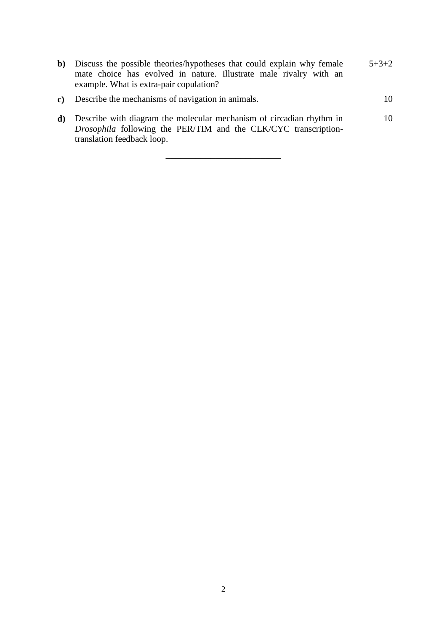| $\mathbf{b}$ | Discuss the possible theories/hypotheses that could explain why female<br>mate choice has evolved in nature. Illustrate male rivalry with an<br>example. What is extra-pair copulation? | $5 + 3 + 2$ |
|--------------|-----------------------------------------------------------------------------------------------------------------------------------------------------------------------------------------|-------------|
| $\mathbf{c}$ | Describe the mechanisms of navigation in animals.                                                                                                                                       | 10          |
| d)           | Describe with diagram the molecular mechanism of circadian rhythm in<br><i>Drosophila</i> following the PER/TIM and the CLK/CYC transcription-<br>translation feedback loop.            | 10          |

\_\_\_\_\_\_\_\_\_\_\_\_\_\_\_\_\_\_\_\_\_\_\_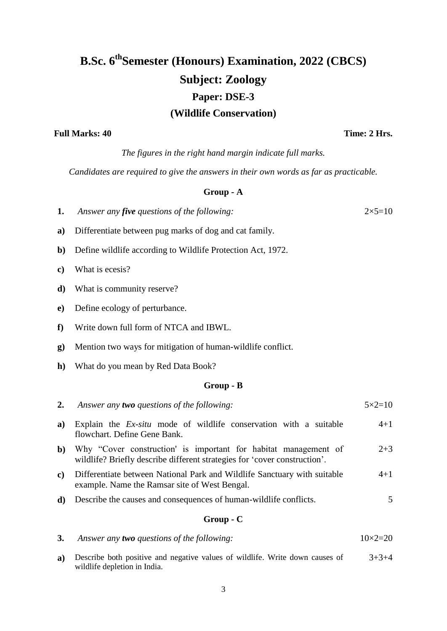# **B.Sc. 6 thSemester (Honours) Examination, 2022 (CBCS) Subject: Zoology Paper: DSE-3 (Wildlife Conservation)**

### Full Marks: 40 **Time: 2 Hrs.**

*The figures in the right hand margin indicate full marks.*

*Candidates are required to give the answers in their own words as far as practicable.*

#### **Group - A**

| 1.            | Answer any <i>five questions of the following</i> :                                                                                          | $2 \times 5 = 10$ |  |  |  |
|---------------|----------------------------------------------------------------------------------------------------------------------------------------------|-------------------|--|--|--|
| a)            | Differentiate between pug marks of dog and cat family.                                                                                       |                   |  |  |  |
| $\mathbf{b}$  | Define wildlife according to Wildlife Protection Act, 1972.                                                                                  |                   |  |  |  |
| $\mathbf{c})$ | What is ecesis?                                                                                                                              |                   |  |  |  |
| d)            | What is community reserve?                                                                                                                   |                   |  |  |  |
| $\mathbf{e})$ | Define ecology of perturbance.                                                                                                               |                   |  |  |  |
| ${\bf f}$     | Write down full form of NTCA and IBWL.                                                                                                       |                   |  |  |  |
| $\bf{g}$      | Mention two ways for mitigation of human-wildlife conflict.                                                                                  |                   |  |  |  |
| $\mathbf{h}$  | What do you mean by Red Data Book?                                                                                                           |                   |  |  |  |
|               | Group - B                                                                                                                                    |                   |  |  |  |
| 2.            | Answer any two questions of the following:                                                                                                   | $5 \times 2 = 10$ |  |  |  |
| a)            | Explain the <i>Ex-situ</i> mode of wildlife conservation with a suitable<br>flowchart. Define Gene Bank.                                     | $4 + 1$           |  |  |  |
| $\mathbf{b}$  | Why "Cover construction' is important for habitat management of<br>wildlife? Briefly describe different strategies for 'cover construction'. | $2 + 3$           |  |  |  |
| $\mathbf{c})$ | Differentiate between National Park and Wildlife Sanctuary with suitable<br>example. Name the Ramsar site of West Bengal.                    | $4 + 1$           |  |  |  |
| d)            | Describe the causes and consequences of human-wildlife conflicts.                                                                            | 5                 |  |  |  |
|               | Group - C                                                                                                                                    |                   |  |  |  |
| 3.            | Answer any two questions of the following:                                                                                                   | $10\times2=20$    |  |  |  |
|               | a) Describe hoth positive and people's velves of wildlife. Write down equase of                                                              | 2.2.4             |  |  |  |

**a)** Describe both positive and negative values of wildlife. Write down causes of wildlife depletion in India. 3+3+4